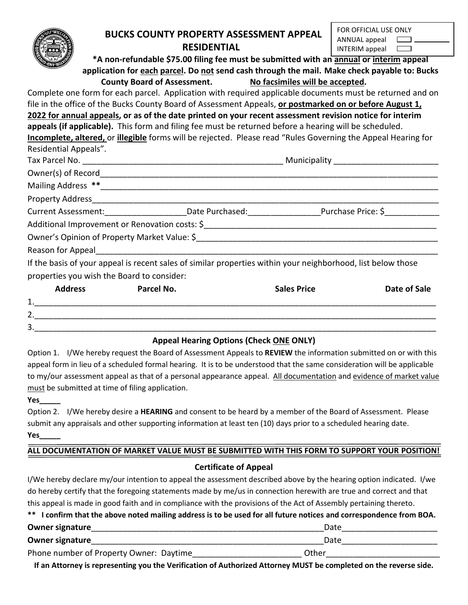#### **BUCKS COUNTY PROPERTY ASSESSMENT APPEAL RESIDENTIAL**  $AD<sub>0</sub>$

| FOR OFFICIAL USE ONLY  |                               |
|------------------------|-------------------------------|
| $ANNUAL$ appeal $\Box$ |                               |
| INTERIM appeal         | $\mathbf{I}$ and $\mathbf{I}$ |

**\*A non-refundable \$75.00 filing fee must be submitted with an annual or interim appeal application for each parcel. Do not send cash through the mail. Make check payable to: Bucks County Board of Assessment. No facsimiles will be accepted.**

Complete one form for each parcel. Application with required applicable documents must be returned and on file in the office of the Bucks County Board of Assessment Appeals, **or postmarked on or before August 1, 2022 for annual appeals, or as of the date printed on your recent assessment revision notice for interim appeals (if applicable).** This form and filing fee must be returned before a hearing will be scheduled. **Incomplete, altered,** or **illegible** forms will be rejected. Please read "Rules Governing the Appeal Hearing for Residential Appeals". Tax Parcel No. 2008 and the set of the set of the set of the set of the Municipality  $\blacksquare$ Owner(s) of Record

| Mailing Address **                                                                                                                                                                                                                               |                 |                    |  |
|--------------------------------------------------------------------------------------------------------------------------------------------------------------------------------------------------------------------------------------------------|-----------------|--------------------|--|
| <b>Property Address</b>                                                                                                                                                                                                                          |                 |                    |  |
| <b>Current Assessment:</b>                                                                                                                                                                                                                       | Date Purchased: | Purchase Price: \$ |  |
| Additional Improvement or Renovation costs: \$ 4.4 and \$ 4.4 and \$ 4.4 and \$ 4.4 and \$ 4.4 and \$ 4.4 and \$ 4.4 and \$ 4.4 and \$ 4.4 and \$ 4.4 and \$ 4.4 and \$ 4.4 and \$ 4.4 and \$ 4.4 and \$ 4.4 and \$ 4.4 and \$ 4.4 and \$ 4.4 an |                 |                    |  |
| Owner's Opinion of Property Market Value: \$                                                                                                                                                                                                     |                 |                    |  |
| Reason for Appeal                                                                                                                                                                                                                                |                 |                    |  |

If the basis of your appeal is recent sales of similar properties within your neighborhood, list below those properties you wish the Board to consider:

|                    | <b>Address</b> | Parcel No. | <b>Sales Price</b> | Date of Sale |
|--------------------|----------------|------------|--------------------|--------------|
| 1<br><u>. на с</u> |                |            |                    |              |
| 2.                 |                |            |                    |              |
| 3.                 |                |            |                    |              |

# **Appeal Hearing Options (Check ONE ONLY)**

Option 1. I/We hereby request the Board of Assessment Appeals to **REVIEW** the information submitted on or with this appeal form in lieu of a scheduled formal hearing. It is to be understood that the same consideration will be applicable to my/our assessment appeal as that of a personal appearance appeal. All documentation and evidence of market value must be submitted at time of filing application.

#### **Yes\_\_\_\_\_**

Option 2. I/We hereby desire a **HEARING** and consent to be heard by a member of the Board of Assessment. Please submit any appraisals and other supporting information at least ten (10) days prior to a scheduled hearing date. **Yes\_\_\_\_\_**

# **ALL DOCUMENTATION OF MARKET VALUE MUST BE SUBMITTED WITH THIS FORM TO SUPPORT YOUR POSITION!**

# **Certificate of Appeal**

I/We hereby declare my/our intention to appeal the assessment described above by the hearing option indicated. I/we do hereby certify that the foregoing statements made by me/us in connection herewith are true and correct and that this appeal is made in good faith and in compliance with the provisions of the Act of Assembly pertaining thereto.

|  | ** I confirm that the above noted mailing address is to be used for all future notices and correspondence from BOA. |
|--|---------------------------------------------------------------------------------------------------------------------|
|--|---------------------------------------------------------------------------------------------------------------------|

| <b>Owner signature</b>                  | Date  |  |
|-----------------------------------------|-------|--|
| <b>Owner signature</b>                  | Date  |  |
| Phone number of Property Owner: Daytime | Other |  |

**If an Attorney is representing you the Verification of Authorized Attorney MUST be completed on the reverse side.**